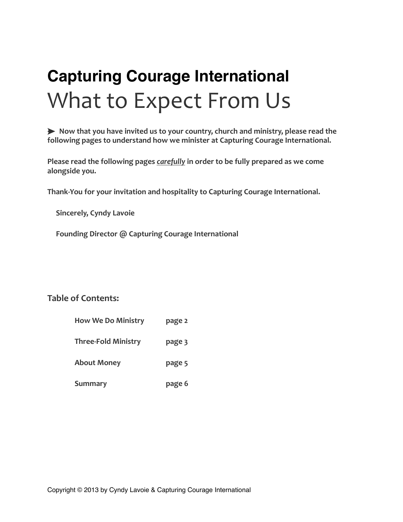# **Capturing Courage International** What to Expect From Us

► Now that you have invited us to your country, church and ministry, please read the following pages to understand how we minister at Capturing Courage International.

**Please read the following pages** *carefully* **in order to be fully prepared as we come** alongside you.

Thank-You for your invitation and hospitality to Capturing Courage International.

**Sincerely, Cyndy Lavoie** 

Founding Director @ Capturing Courage International

# **Table of Contents:**

|  |  | <b>How We Do Ministry</b> | page 2 |
|--|--|---------------------------|--------|
|--|--|---------------------------|--------|

**Three-Fold Ministry bage 3** 

About Money **page** 5

**Summary page 6**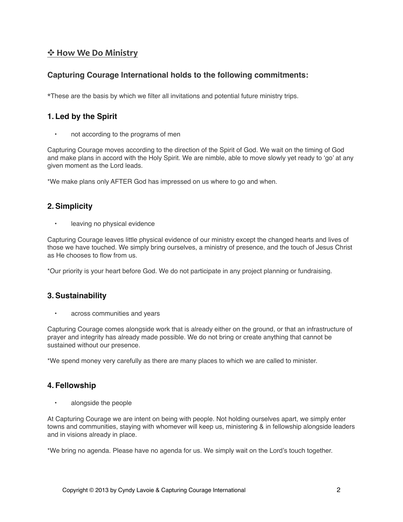## $**$$  $\div$  **How We Do Ministry****$

## **Capturing Courage International holds to the following commitments:**

\*These are the basis by which we filter all invitations and potential future ministry trips.

### **1. Led by the Spirit**

not according to the programs of men

Capturing Courage moves according to the direction of the Spirit of God. We wait on the timing of God and make plans in accord with the Holy Spirit. We are nimble, able to move slowly yet ready to 'go' at any given moment as the Lord leads.

\*We make plans only AFTER God has impressed on us where to go and when.

### **2.Simplicity**

• leaving no physical evidence

Capturing Courage leaves little physical evidence of our ministry except the changed hearts and lives of those we have touched. We simply bring ourselves, a ministry of presence, and the touch of Jesus Christ as He chooses to flow from us.

\*Our priority is your heart before God. We do not participate in any project planning or fundraising.

#### **3.Sustainability**

• across communities and years

Capturing Courage comes alongside work that is already either on the ground, or that an infrastructure of prayer and integrity has already made possible. We do not bring or create anything that cannot be sustained without our presence.

\*We spend money very carefully as there are many places to which we are called to minister.

#### **4. Fellowship**

• alongside the people

At Capturing Courage we are intent on being with people. Not holding ourselves apart, we simply enter towns and communities, staying with whomever will keep us, ministering & in fellowship alongside leaders and in visions already in place.

\*We bring no agenda. Please have no agenda for us. We simply wait on the Lord's touch together.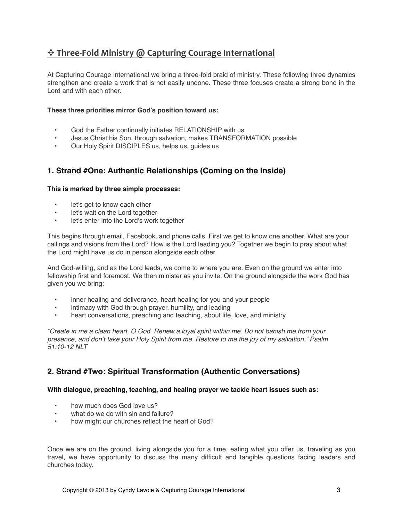# $\triangle$  Three-Fold Ministry @ Capturing Courage International

At Capturing Courage International we bring a three-fold braid of ministry. These following three dynamics strengthen and create a work that is not easily undone. These three focuses create a strong bond in the Lord and with each other.

#### **These three priorities mirror God's position toward us:**

- God the Father continually initiates RELATIONSHIP with us
- Jesus Christ his Son, through salvation, makes TRANSFORMATION possible
- Our Holy Spirit DISCIPLES us, helps us, guides us

## **1. Strand #One: Authentic Relationships (Coming on the Inside)**

#### **This is marked by three simple processes:**

- let's get to know each other
- let's wait on the Lord together
- let's enter into the Lord's work together

This begins through email, Facebook, and phone calls. First we get to know one another. What are your callings and visions from the Lord? How is the Lord leading you? Together we begin to pray about what the Lord might have us do in person alongside each other.

And God-willing, and as the Lord leads, we come to where you are. Even on the ground we enter into fellowship first and foremost. We then minister as you invite. On the ground alongside the work God has given you we bring:

- inner healing and deliverance, heart healing for you and your people
- intimacy with God through prayer, humility, and leading
- heart conversations, preaching and teaching, about life, love, and ministry

*"Create in me a clean heart, O God. Renew a loyal spirit within me. Do not banish me from your presence, and don't take your Holy Spirit from me. Restore to me the joy of my salvation." Psalm 51:10-12 NLT*

## **2. Strand #Two: Spiritual Transformation (Authentic Conversations)**

#### **With dialogue, preaching, teaching, and healing prayer we tackle heart issues such as:**

- how much does God love us?
- what do we do with sin and failure?
- how might our churches reflect the heart of God?

Once we are on the ground, living alongside you for a time, eating what you offer us, traveling as you travel, we have opportunity to discuss the many difficult and tangible questions facing leaders and churches today.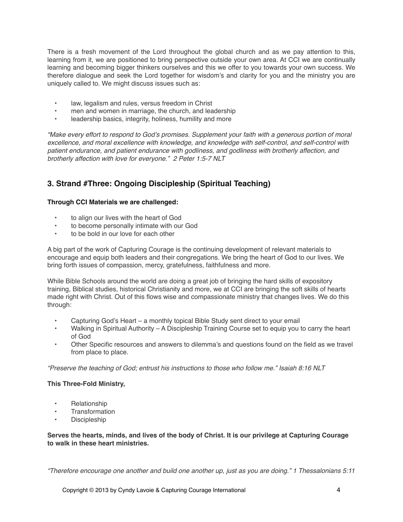There is a fresh movement of the Lord throughout the global church and as we pay attention to this, learning from it, we are positioned to bring perspective outside your own area. At CCI we are continually learning and becoming bigger thinkers ourselves and this we offer to you towards your own success. We therefore dialogue and seek the Lord together for wisdom's and clarity for you and the ministry you are uniquely called to. We might discuss issues such as:

- law, legalism and rules, versus freedom in Christ
- men and women in marriage, the church, and leadership
- leadership basics, integrity, holiness, humility and more

*"Make every effort to respond to God's promises. Supplement your faith with a generous portion of moral excellence, and moral excellence with knowledge, and knowledge with self-control, and self-control with patient endurance, and patient endurance with godliness, and godliness with brotherly affection, and brotherly affection with love for everyone." 2 Peter 1:5-7 NLT*

# **3. Strand #Three: Ongoing Discipleship (Spiritual Teaching)**

#### **Through CCI Materials we are challenged:**

- to align our lives with the heart of God
- to become personally intimate with our God
- to be bold in our love for each other

A big part of the work of Capturing Courage is the continuing development of relevant materials to encourage and equip both leaders and their congregations. We bring the heart of God to our lives. We bring forth issues of compassion, mercy, gratefulness, faithfulness and more.

While Bible Schools around the world are doing a great job of bringing the hard skills of expository training, Biblical studies, historical Christianity and more, we at CCI are bringing the soft skills of hearts made right with Christ. Out of this flows wise and compassionate ministry that changes lives. We do this through:

- Capturing God's Heart a monthly topical Bible Study sent direct to your email
- Walking in Spiritual Authority A Discipleship Training Course set to equip you to carry the heart of God
- Other Specific resources and answers to dilemma's and questions found on the field as we travel from place to place.

*"Preserve the teaching of God; entrust his instructions to those who follow me." Isaiah 8:16 NLT*

#### **This Three-Fold Ministry,**

- Relationship
- **Transformation**
- Discipleship

#### **Serves the hearts, minds, and lives of the body of Christ. It is our privilege at Capturing Courage to walk in these heart ministries.**

*"Therefore encourage one another and build one another up, just as you are doing." 1 Thessalonians 5:11*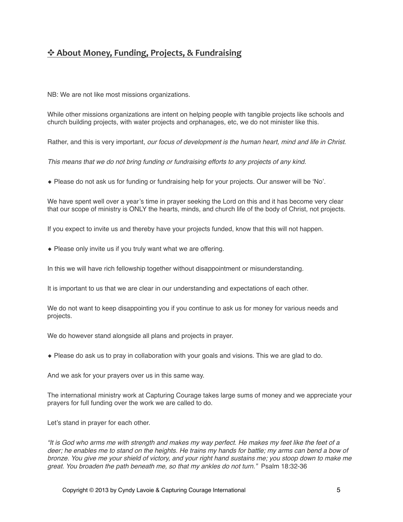# ✥ **About Money, Funding, Projects, & Fundraising**

NB: We are not like most missions organizations.

While other missions organizations are intent on helping people with tangible projects like schools and church building projects, with water projects and orphanages, etc, we do not minister like this.

Rather, and this is very important, *our focus of development is the human heart, mind and life in Christ*.

*This means that we do not bring funding or fundraising efforts to any projects of any kind.*

◆ Please do not ask us for funding or fundraising help for your projects. Our answer will be 'No'.

We have spent well over a year's time in prayer seeking the Lord on this and it has become very clear that our scope of ministry is ONLY the hearts, minds, and church life of the body of Christ, not projects.

If you expect to invite us and thereby have your projects funded, know that this will not happen.

◆ Please only invite us if you truly want what we are offering.

In this we will have rich fellowship together without disappointment or misunderstanding.

It is important to us that we are clear in our understanding and expectations of each other.

We do not want to keep disappointing you if you continue to ask us for money for various needs and projects.

We do however stand alongside all plans and projects in prayer.

◆ Please do ask us to pray in collaboration with your goals and visions. This we are glad to do.

And we ask for your prayers over us in this same way.

The international ministry work at Capturing Courage takes large sums of money and we appreciate your prayers for full funding over the work we are called to do.

Let's stand in prayer for each other.

*"It is God who arms me with strength and makes my way perfect. He makes my feet like the feet of a deer; he enables me to stand on the heights. He trains my hands for battle; my arms can bend a bow of bronze. You give me your shield of victory, and your right hand sustains me; you stoop down to make me great. You broaden the path beneath me, so that my ankles do not turn."* Psalm 18:32-36